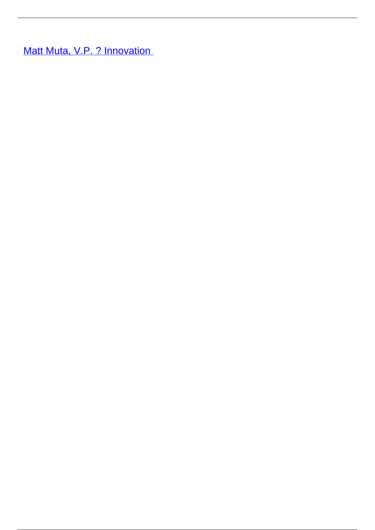**[Matt Muta, V.P. ? Innovation](/leader-bio-matt-muta-vp-innovation)**